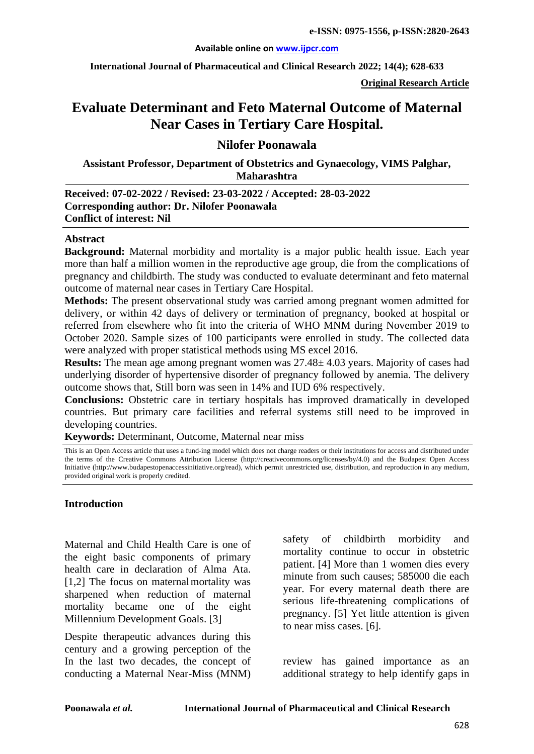#### **Available online on [www.ijpcr.com](http://www.ijpcr.com/)**

**International Journal of Pharmaceutical and Clinical Research 2022; 14(4); 628-633**

**Original Research Article**

# **Evaluate Determinant and Feto Maternal Outcome of Maternal Near Cases in Tertiary Care Hospital.**

## **Nilofer Poonawala**

**Assistant Professor, Department of Obstetrics and Gynaecology, VIMS Palghar, Maharashtra**

**Received: 07-02-2022 / Revised: 23-03-2022 / Accepted: 28-03-2022 Corresponding author: Dr. Nilofer Poonawala Conflict of interest: Nil**

#### **Abstract**

**Background:** Maternal morbidity and mortality is a major public health issue. Each year more than half a million women in the reproductive age group, die from the complications of pregnancy and childbirth. The study was conducted to evaluate determinant and feto maternal outcome of maternal near cases in Tertiary Care Hospital.

**Methods:** The present observational study was carried among pregnant women admitted for delivery, or within 42 days of delivery or termination of pregnancy, booked at hospital or referred from elsewhere who fit into the criteria of WHO MNM during November 2019 to October 2020. Sample sizes of 100 participants were enrolled in study. The collected data were analyzed with proper statistical methods using MS excel 2016.

**Results:** The mean age among pregnant women was 27.48± 4.03 years. Majority of cases had underlying disorder of hypertensive disorder of pregnancy followed by anemia. The delivery outcome shows that, Still born was seen in 14% and IUD 6% respectively.

**Conclusions:** Obstetric care in tertiary hospitals has improved dramatically in developed countries. But primary care facilities and referral systems still need to be improved in developing countries.

**Keywords:** Determinant, Outcome, Maternal near miss

This is an Open Access article that uses a fund-ing model which does not charge readers or their institutions for access and distributed under the terms of the Creative Commons Attribution License (http://creativecommons.org/licenses/by/4.0) and the Budapest Open Access Initiative (http://www.budapestopenaccessinitiative.org/read), which permit unrestricted use, distribution, and reproduction in any medium, provided original work is properly credited.

## **Introduction**

Maternal and Child Health Care is one of the eight basic components of primary health care in declaration of Alma Ata.  $[1,2]$  The focus on maternal mortality was sharpened when reduction of maternal mortality became one of the eight Millennium Development Goals. [3]

Despite therapeutic advances during this century and a growing perception of the In the last two decades, the concept of conducting a Maternal Near-Miss (MNM) safety of childbirth morbidity and mortality continue to occur in obstetric patient. [4] More than 1 women dies every minute from such causes; 585000 die each year. For every maternal death there are serious life-threatening complications of pregnancy. [5] Yet little attention is given to near miss cases. [6].

review has gained importance as an additional strategy to help identify gaps in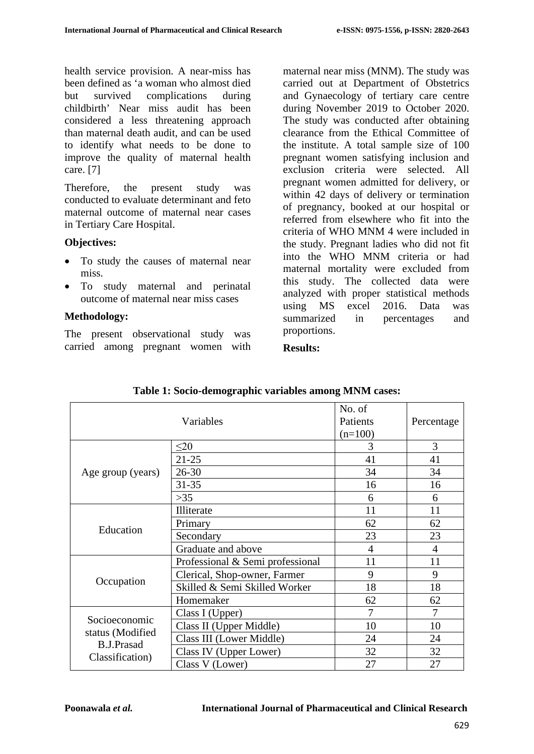health service provision. A near-miss has been defined as 'a woman who almost died but survived complications during childbirth' Near miss audit has been considered a less threatening approach than maternal death audit, and can be used to identify what needs to be done to improve the quality of maternal health care. [7]

Therefore, the present study was conducted to evaluate determinant and feto maternal outcome of maternal near cases in Tertiary Care Hospital.

## **Objectives:**

- To study the causes of maternal near miss.
- To study maternal and perinatal outcome of maternal near miss cases

## **Methodology:**

The present observational study was carried among pregnant women with maternal near miss (MNM). The study was carried out at Department of Obstetrics and Gynaecology of tertiary care centre during November 2019 to October 2020. The study was conducted after obtaining clearance from the Ethical Committee of the institute. A total sample size of 100 pregnant women satisfying inclusion and exclusion criteria were selected. All pregnant women admitted for delivery, or within 42 days of delivery or termination of pregnancy, booked at our hospital or referred from elsewhere who fit into the criteria of WHO MNM 4 were included in the study. Pregnant ladies who did not fit into the WHO MNM criteria or had maternal mortality were excluded from this study. The collected data were analyzed with proper statistical methods using MS excel 2016. Data was summarized in percentages and proportions.

## **Results:**

|                                                                           | Variables                        | No. of<br>Patients<br>$(n=100)$ | Percentage     |
|---------------------------------------------------------------------------|----------------------------------|---------------------------------|----------------|
|                                                                           | $\leq 20$                        | 3                               | 3              |
| Age group (years)                                                         | $21 - 25$                        | 41                              | 41             |
|                                                                           | $26 - 30$                        | 34                              | 34             |
|                                                                           | $31 - 35$                        | 16                              | 16             |
|                                                                           | $>35$                            | 6                               | 6              |
| Education                                                                 | Illiterate                       | 11                              | 11             |
|                                                                           | Primary                          | 62                              | 62             |
|                                                                           | Secondary                        | 23                              | 23             |
|                                                                           | Graduate and above               | 4                               | $\overline{4}$ |
| Occupation                                                                | Professional & Semi professional | 11                              | 11             |
|                                                                           | Clerical, Shop-owner, Farmer     | 9                               | 9              |
|                                                                           | Skilled & Semi Skilled Worker    | 18                              | 18             |
|                                                                           | Homemaker                        | 62                              | 62             |
| Socioeconomic<br>status (Modified<br><b>B.J.Prasad</b><br>Classification) | Class I (Upper)                  | 7                               | 7              |
|                                                                           | Class II (Upper Middle)          | 10                              | 10             |
|                                                                           | Class III (Lower Middle)         | 24                              | 24             |
|                                                                           | Class IV (Upper Lower)           | 32                              | 32             |
|                                                                           | Class V (Lower)                  | 27                              | 27             |

**Table 1: Socio-demographic variables among MNM cases:**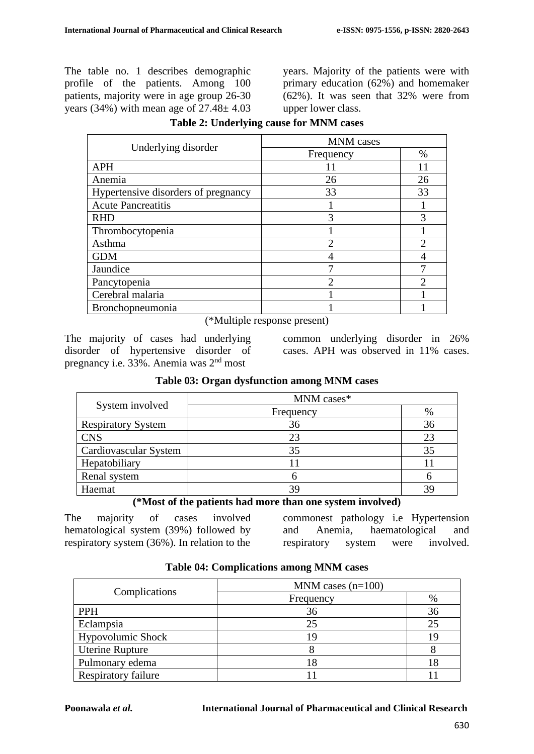The table no. 1 describes demographic profile of the patients. Among 100 patients, majority were in age group 26-30 years  $(34\%)$  with mean age of  $27.48 \pm 4.03$  years. Majority of the patients were with primary education (62%) and homemaker (62%). It was seen that 32% were from upper lower class.

| Underlying disorder                 | <b>MNM</b> cases            |                             |  |
|-------------------------------------|-----------------------------|-----------------------------|--|
|                                     | Frequency                   | $\%$                        |  |
| <b>APH</b>                          |                             | 11                          |  |
| Anemia                              | 26                          | 26                          |  |
| Hypertensive disorders of pregnancy | 33                          | 33                          |  |
| <b>Acute Pancreatitis</b>           |                             |                             |  |
| <b>RHD</b>                          | 3                           | 3                           |  |
| Thrombocytopenia                    |                             |                             |  |
| Asthma                              | $\mathcal{D}_{\mathcal{A}}$ | $\mathcal{D}_{\mathcal{A}}$ |  |
| <b>GDM</b>                          |                             |                             |  |
| Jaundice                            | -                           |                             |  |
| Pancytopenia                        | っ                           | ↑                           |  |
| Cerebral malaria                    |                             |                             |  |
| Bronchopneumonia                    |                             |                             |  |

**Table 2: Underlying cause for MNM cases**

(\*Multiple response present)

The majority of cases had underlying disorder of hypertensive disorder of pregnancy i.e. 33%. Anemia was 2nd most

common underlying disorder in 26% cases. APH was observed in 11% cases.

| <b>Table 03: Organ dysiunction among MINM cases</b> |            |      |
|-----------------------------------------------------|------------|------|
|                                                     | MNM cases* |      |
| System involved                                     | Frequency  | $\%$ |
| <b>Respiratory System</b>                           | 36         | 36   |
| <b>CNS</b>                                          | 23         | 23   |
| Cardiovascular System                               | 35         | 35   |
| Hepatobiliary                                       |            |      |
| Renal system                                        |            |      |

# **Table 03: Organ dysfunction among MNM cases**

## **(\*Most of the patients had more than one system involved)**

Haemat  $\begin{array}{ccc} 39 & 39 \end{array}$  39

The majority of cases involved hematological system (39%) followed by respiratory system (36%). In relation to the

commonest pathology i.e Hypertension and Anemia, haematological and respiratory system were involved.

| Complications            | MNM cases $(n=100)$ |      |
|--------------------------|---------------------|------|
|                          | Frequency           | $\%$ |
| <b>PPH</b>               | 36                  | 36   |
| Eclampsia                | 25                  | 25   |
| <b>Hypovolumic Shock</b> | 19                  |      |
| Uterine Rupture          |                     |      |
| Pulmonary edema          | 18                  |      |
| Respiratory failure      |                     |      |

## **Table 04: Complications among MNM cases**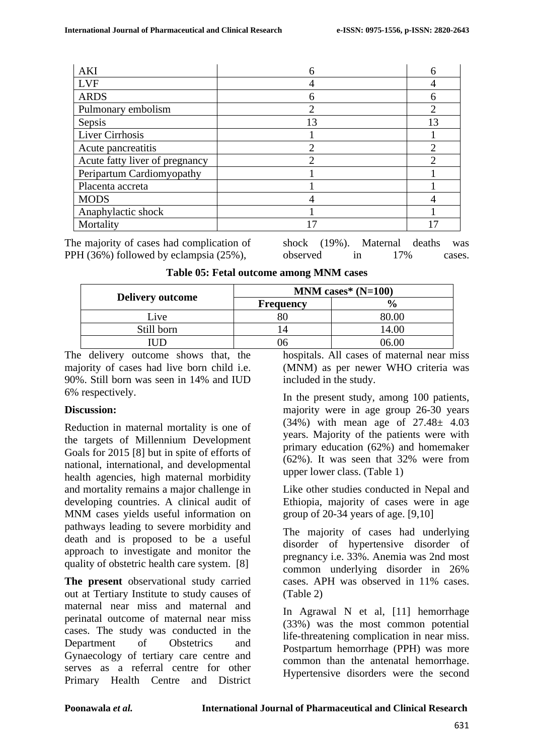| <b>AKI</b>                     |                             | n                           |
|--------------------------------|-----------------------------|-----------------------------|
| <b>LVF</b>                     |                             |                             |
| <b>ARDS</b>                    | 6                           |                             |
| Pulmonary embolism             | າ                           |                             |
| Sepsis                         | 13                          | 13                          |
| Liver Cirrhosis                |                             |                             |
| Acute pancreatitis             | $\mathcal{D}_{\mathcal{L}}$ | $\mathcal{D}_{\mathcal{L}}$ |
| Acute fatty liver of pregnancy | ?                           |                             |
| Peripartum Cardiomyopathy      |                             |                             |
| Placenta accreta               |                             |                             |
| <b>MODS</b>                    |                             |                             |
| Anaphylactic shock             |                             |                             |
| Mortality                      |                             |                             |

The majority of cases had complication of PPH (36%) followed by eclampsia (25%),

shock (19%). Maternal deaths was observed in 17% cases.

|                         | MNM cases* $(N=100)$ |               |  |
|-------------------------|----------------------|---------------|--|
| <b>Delivery outcome</b> | Frequency            | $\frac{6}{6}$ |  |
| Live                    | ŏΟ                   | 80 OO         |  |
| Still born              | 4                    | 14.00         |  |
|                         | )h                   |               |  |

The delivery outcome shows that, the majority of cases had live born child i.e. 90%. Still born was seen in 14% and IUD 6% respectively.

## **Discussion:**

Reduction in maternal mortality is one of the targets of Millennium Development Goals for 2015 [8] but in spite of efforts of national, international, and developmental health agencies, high maternal morbidity and mortality remains a major challenge in developing countries. A clinical audit of MNM cases yields useful information on pathways leading to severe morbidity and death and is proposed to be a useful approach to investigate and monitor the quality of obstetric health care system. [8]

**The present** observational study carried out at Tertiary Institute to study causes of maternal near miss and maternal and perinatal outcome of maternal near miss cases. The study was conducted in the Department of Obstetrics and Gynaecology of tertiary care centre and serves as a referral centre for other Primary Health Centre and District hospitals. All cases of maternal near miss (MNM) as per newer WHO criteria was included in the study.

In the present study, among 100 patients, majority were in age group 26-30 years (34%) with mean age of 27.48± 4.03 years. Majority of the patients were with primary education (62%) and homemaker (62%). It was seen that 32% were from upper lower class. (Table 1)

Like other studies conducted in Nepal and Ethiopia, majority of cases were in age group of 20-34 years of age. [9,10]

The majority of cases had underlying disorder of hypertensive disorder of pregnancy i.e. 33%. Anemia was 2nd most common underlying disorder in 26% cases. APH was observed in 11% cases. (Table 2)

In Agrawal N et al, [11] hemorrhage (33%) was the most common potential life-threatening complication in near miss. Postpartum hemorrhage (PPH) was more common than the antenatal hemorrhage. Hypertensive disorders were the second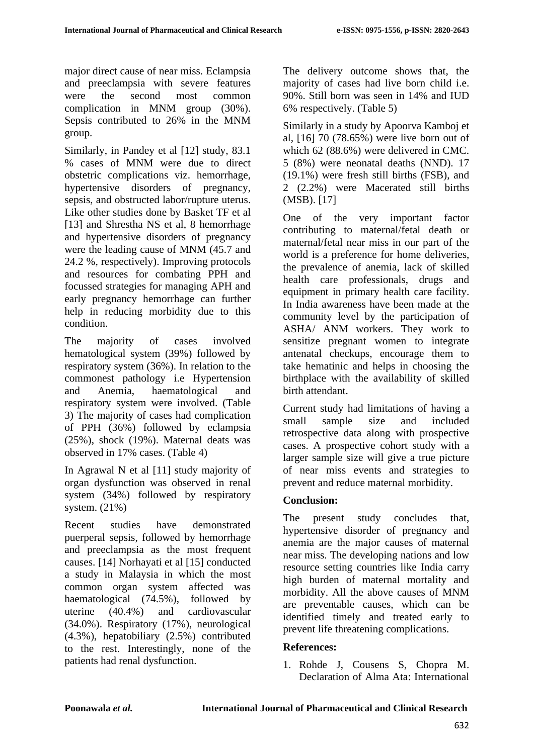major direct cause of near miss. Eclampsia and preeclampsia with severe features were the second most common complication in MNM group (30%). Sepsis contributed to 26% in the MNM group.

Similarly, in Pandey et al [12] study, 83.1 % cases of MNM were due to direct obstetric complications viz. hemorrhage, hypertensive disorders of pregnancy, sepsis, and obstructed labor/rupture uterus. Like other studies done by Basket TF et al [13] and Shrestha NS et al, 8 hemorrhage and hypertensive disorders of pregnancy were the leading cause of MNM (45.7 and 24.2 %, respectively). Improving protocols and resources for combating PPH and focussed strategies for managing APH and early pregnancy hemorrhage can further help in reducing morbidity due to this condition.

The majority of cases involved hematological system (39%) followed by respiratory system (36%). In relation to the commonest pathology i.e Hypertension and Anemia, haematological and respiratory system were involved. (Table 3) The majority of cases had complication of PPH (36%) followed by eclampsia (25%), shock (19%). Maternal deats was observed in 17% cases. (Table 4)

In Agrawal N et al [11] study majority of organ dysfunction was observed in renal system (34%) followed by respiratory system. (21%)

Recent studies have demonstrated puerperal sepsis, followed by hemorrhage and preeclampsia as the most frequent causes. [14] Norhayati et al [15] conducted a study in Malaysia in which the most common organ system affected was haematological (74.5%), followed by uterine (40.4%) and cardiovascular (34.0%). Respiratory (17%), neurological (4.3%), hepatobiliary (2.5%) contributed to the rest. Interestingly, none of the patients had renal dysfunction.

The delivery outcome shows that, the majority of cases had live born child i.e. 90%. Still born was seen in 14% and IUD 6% respectively. (Table 5)

Similarly in a study by Apoorva Kamboj et al, [16] 70 (78.65%) were live born out of which 62 (88.6%) were delivered in CMC. 5 (8%) were neonatal deaths (NND). 17 (19.1%) were fresh still births (FSB), and 2 (2.2%) were Macerated still births (MSB). [17]

One of the very important factor contributing to maternal/fetal death or maternal/fetal near miss in our part of the world is a preference for home deliveries, the prevalence of anemia, lack of skilled health care professionals, drugs and equipment in primary health care facility. In India awareness have been made at the community level by the participation of ASHA/ ANM workers. They work to sensitize pregnant women to integrate antenatal checkups, encourage them to take hematinic and helps in choosing the birthplace with the availability of skilled birth attendant.

Current study had limitations of having a small sample size and included retrospective data along with prospective cases. A prospective cohort study with a larger sample size will give a true picture of near miss events and strategies to prevent and reduce maternal morbidity.

## **Conclusion:**

The present study concludes that, hypertensive disorder of pregnancy and anemia are the major causes of maternal near miss. The developing nations and low resource setting countries like India carry high burden of maternal mortality and morbidity. All the above causes of MNM are preventable causes, which can be identified timely and treated early to prevent life threatening complications.

## **References:**

1. Rohde J, Cousens S, Chopra M. Declaration of Alma Ata: International